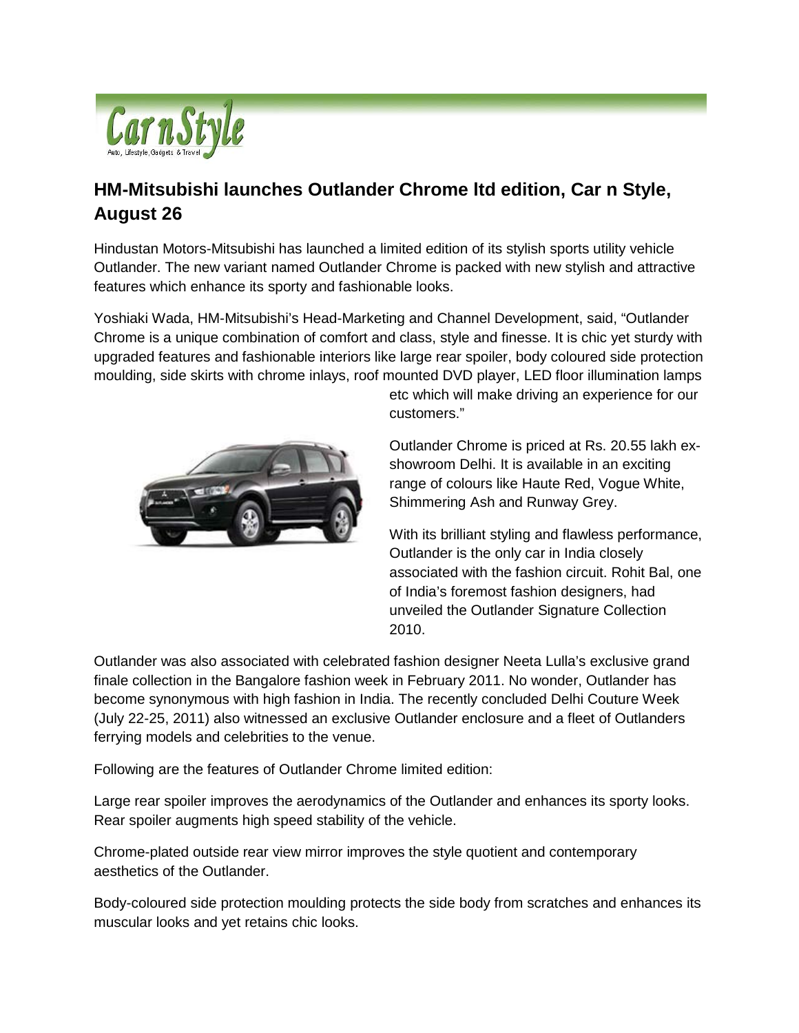

## **HM-Mitsubishi launches Outlander Chrome ltd edition, Car n Style, August 26**

Hindustan Motors-Mitsubishi has launched a limited edition of its stylish sports utility vehicle Outlander. The new variant named Outlander Chrome is packed with new stylish and attractive features which enhance its sporty and fashionable looks.

Yoshiaki Wada, HM-Mitsubishi's Head-Marketing and Channel Development, said, "Outlander Chrome is a unique combination of comfort and class, style and finesse. It is chic yet sturdy with upgraded features and fashionable interiors like large rear spoiler, body coloured side protection moulding, side skirts with chrome inlays, roof mounted DVD player, LED floor illumination lamps



etc which will make driving an experience for our customers."

Outlander Chrome is priced at Rs. 20.55 lakh exshowroom Delhi. It is available in an exciting range of colours like Haute Red, Vogue White, Shimmering Ash and Runway Grey.

With its brilliant styling and flawless performance, Outlander is the only car in India closely associated with the fashion circuit. Rohit Bal, one of India's foremost fashion designers, had unveiled the Outlander Signature Collection 2010.

Outlander was also associated with celebrated fashion designer Neeta Lulla's exclusive grand finale collection in the Bangalore fashion week in February 2011. No wonder, Outlander has become synonymous with high fashion in India. The recently concluded Delhi Couture Week (July 22-25, 2011) also witnessed an exclusive Outlander enclosure and a fleet of Outlanders ferrying models and celebrities to the venue.

Following are the features of Outlander Chrome limited edition:

Large rear spoiler improves the aerodynamics of the Outlander and enhances its sporty looks. Rear spoiler augments high speed stability of the vehicle.

Chrome-plated outside rear view mirror improves the style quotient and contemporary aesthetics of the Outlander.

Body-coloured side protection moulding protects the side body from scratches and enhances its muscular looks and yet retains chic looks.